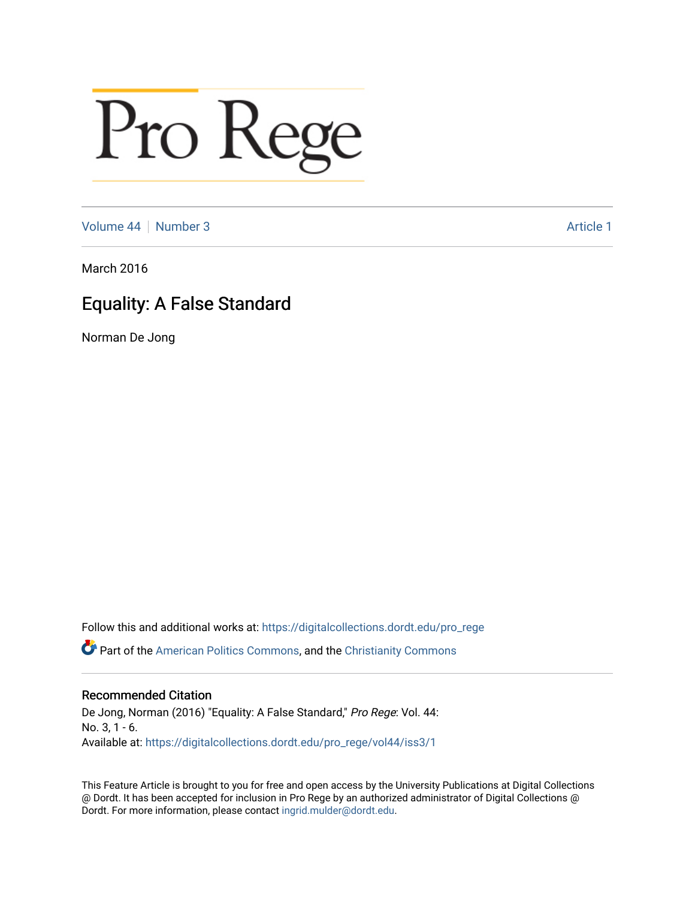# Pro Rege

[Volume 44](https://digitalcollections.dordt.edu/pro_rege/vol44) [Number 3](https://digitalcollections.dordt.edu/pro_rege/vol44/iss3) Article 1

March 2016

### Equality: A False Standard

Norman De Jong

Follow this and additional works at: [https://digitalcollections.dordt.edu/pro\\_rege](https://digitalcollections.dordt.edu/pro_rege?utm_source=digitalcollections.dordt.edu%2Fpro_rege%2Fvol44%2Fiss3%2F1&utm_medium=PDF&utm_campaign=PDFCoverPages) 

Part of the [American Politics Commons,](http://network.bepress.com/hgg/discipline/387?utm_source=digitalcollections.dordt.edu%2Fpro_rege%2Fvol44%2Fiss3%2F1&utm_medium=PDF&utm_campaign=PDFCoverPages) and the [Christianity Commons](http://network.bepress.com/hgg/discipline/1181?utm_source=digitalcollections.dordt.edu%2Fpro_rege%2Fvol44%2Fiss3%2F1&utm_medium=PDF&utm_campaign=PDFCoverPages)

#### Recommended Citation

De Jong, Norman (2016) "Equality: A False Standard," Pro Rege: Vol. 44: No. 3, 1 - 6. Available at: [https://digitalcollections.dordt.edu/pro\\_rege/vol44/iss3/1](https://digitalcollections.dordt.edu/pro_rege/vol44/iss3/1?utm_source=digitalcollections.dordt.edu%2Fpro_rege%2Fvol44%2Fiss3%2F1&utm_medium=PDF&utm_campaign=PDFCoverPages) 

This Feature Article is brought to you for free and open access by the University Publications at Digital Collections @ Dordt. It has been accepted for inclusion in Pro Rege by an authorized administrator of Digital Collections @ Dordt. For more information, please contact [ingrid.mulder@dordt.edu.](mailto:ingrid.mulder@dordt.edu)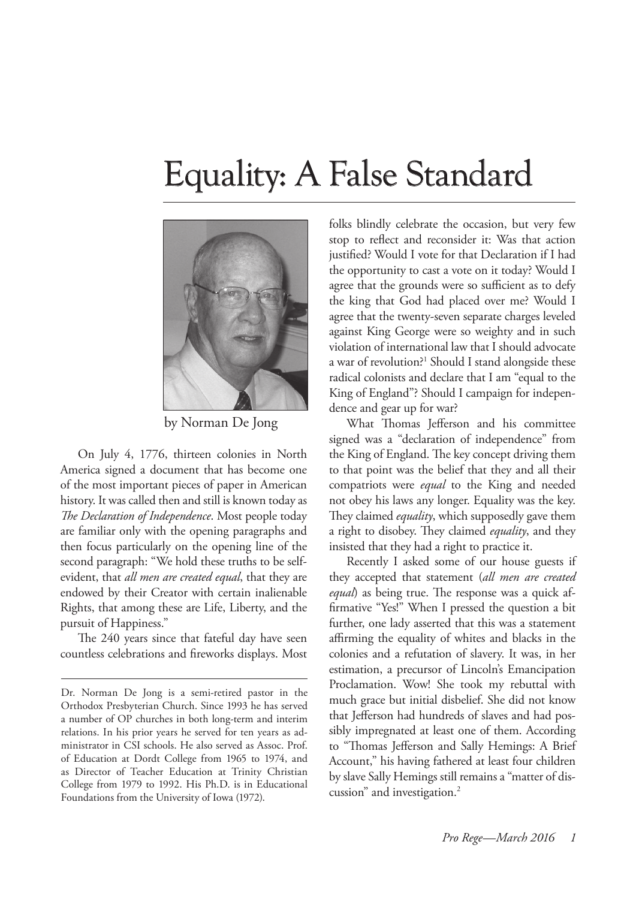## Equality: A False Standard



by Norman De Jong

On July 4, 1776, thirteen colonies in North America signed a document that has become one of the most important pieces of paper in American history. It was called then and still is known today as *The Declaration of Independence*. Most people today are familiar only with the opening paragraphs and then focus particularly on the opening line of the second paragraph: "We hold these truths to be selfevident, that *all men are created equal*, that they are endowed by their Creator with certain inalienable Rights, that among these are Life, Liberty, and the pursuit of Happiness."

The 240 years since that fateful day have seen countless celebrations and fireworks displays. Most folks blindly celebrate the occasion, but very few stop to reflect and reconsider it: Was that action justified? Would I vote for that Declaration if I had the opportunity to cast a vote on it today? Would I agree that the grounds were so sufficient as to defy the king that God had placed over me? Would I agree that the twenty-seven separate charges leveled against King George were so weighty and in such violation of international law that I should advocate a war of revolution?<sup>1</sup> Should I stand alongside these radical colonists and declare that I am "equal to the King of England"? Should I campaign for independence and gear up for war?

What Thomas Jefferson and his committee signed was a "declaration of independence" from the King of England. The key concept driving them to that point was the belief that they and all their compatriots were *equal* to the King and needed not obey his laws any longer. Equality was the key. They claimed *equality*, which supposedly gave them a right to disobey. They claimed *equality*, and they insisted that they had a right to practice it.

Recently I asked some of our house guests if they accepted that statement (*all men are created equal*) as being true. The response was a quick affirmative "Yes!" When I pressed the question a bit further, one lady asserted that this was a statement affirming the equality of whites and blacks in the colonies and a refutation of slavery. It was, in her estimation, a precursor of Lincoln's Emancipation Proclamation. Wow! She took my rebuttal with much grace but initial disbelief. She did not know that Jefferson had hundreds of slaves and had possibly impregnated at least one of them. According to "Thomas Jefferson and Sally Hemings: A Brief Account," his having fathered at least four children by slave Sally Hemings still remains a "matter of discussion" and investigation.2

Dr. Norman De Jong is a semi-retired pastor in the Orthodox Presbyterian Church. Since 1993 he has served a number of OP churches in both long-term and interim relations. In his prior years he served for ten years as administrator in CSI schools. He also served as Assoc. Prof. of Education at Dordt College from 1965 to 1974, and as Director of Teacher Education at Trinity Christian College from 1979 to 1992. His Ph.D. is in Educational Foundations from the University of Iowa (1972).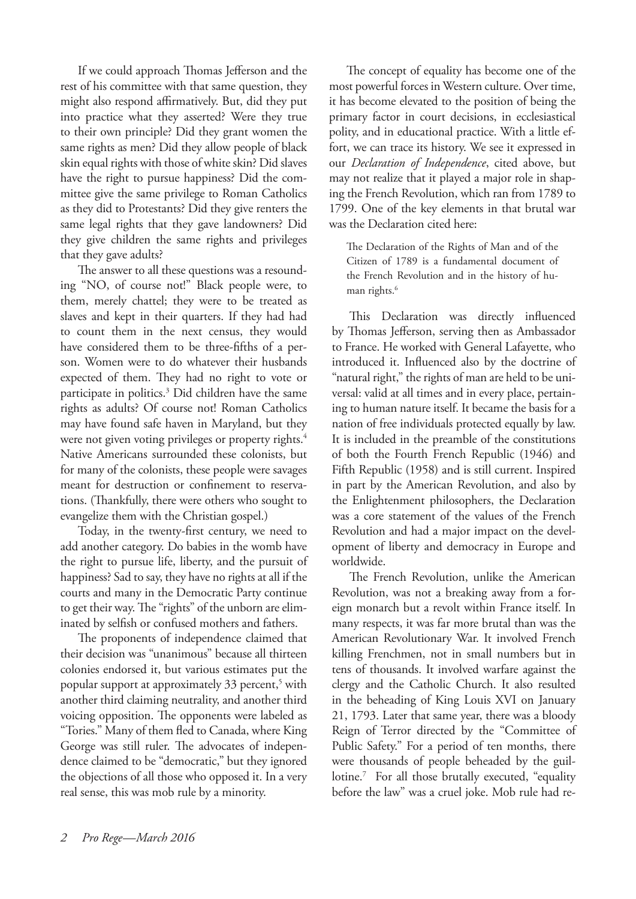If we could approach Thomas Jefferson and the rest of his committee with that same question, they might also respond affirmatively. But, did they put into practice what they asserted? Were they true to their own principle? Did they grant women the same rights as men? Did they allow people of black skin equal rights with those of white skin? Did slaves have the right to pursue happiness? Did the committee give the same privilege to Roman Catholics as they did to Protestants? Did they give renters the same legal rights that they gave landowners? Did they give children the same rights and privileges that they gave adults?

The answer to all these questions was a resounding "NO, of course not!" Black people were, to them, merely chattel; they were to be treated as slaves and kept in their quarters. If they had had to count them in the next census, they would have considered them to be three-fifths of a person. Women were to do whatever their husbands expected of them. They had no right to vote or participate in politics.<sup>3</sup> Did children have the same rights as adults? Of course not! Roman Catholics may have found safe haven in Maryland, but they were not given voting privileges or property rights.<sup>4</sup> Native Americans surrounded these colonists, but for many of the colonists, these people were savages meant for destruction or confinement to reservations. (Thankfully, there were others who sought to evangelize them with the Christian gospel.)

Today, in the twenty-first century, we need to add another category. Do babies in the womb have the right to pursue life, liberty, and the pursuit of happiness? Sad to say, they have no rights at all if the courts and many in the Democratic Party continue to get their way. The "rights" of the unborn are eliminated by selfish or confused mothers and fathers.

The proponents of independence claimed that their decision was "unanimous" because all thirteen colonies endorsed it, but various estimates put the popular support at approximately 33 percent,<sup>5</sup> with another third claiming neutrality, and another third voicing opposition. The opponents were labeled as "Tories." Many of them fled to Canada, where King George was still ruler. The advocates of independence claimed to be "democratic," but they ignored the objections of all those who opposed it. In a very real sense, this was mob rule by a minority.

The concept of equality has become one of the most powerful forces in Western culture. Over time, it has become elevated to the position of being the primary factor in court decisions, in ecclesiastical polity, and in educational practice. With a little effort, we can trace its history. We see it expressed in our *Declaration of Independence*, cited above, but may not realize that it played a major role in shaping the French Revolution, which ran from 1789 to 1799. One of the key elements in that brutal war was the Declaration cited here:

The Declaration of the Rights of Man and of the Citizen of 1789 is a fundamental document of the French Revolution and in the history of human rights.<sup>6</sup>

This Declaration was directly influenced by Thomas Jefferson, serving then as Ambassador to France. He worked with General Lafayette, who introduced it. Influenced also by the doctrine of "natural right," the rights of man are held to be universal: valid at all times and in every place, pertaining to human nature itself. It became the basis for a nation of free individuals protected equally by law. It is included in the preamble of the constitutions of both the Fourth French Republic (1946) and Fifth Republic (1958) and is still current. Inspired in part by the American Revolution, and also by the Enlightenment philosophers, the Declaration was a core statement of the values of the French Revolution and had a major impact on the development of liberty and democracy in Europe and worldwide.

The French Revolution, unlike the American Revolution, was not a breaking away from a foreign monarch but a revolt within France itself. In many respects, it was far more brutal than was the American Revolutionary War. It involved French killing Frenchmen, not in small numbers but in tens of thousands. It involved warfare against the clergy and the Catholic Church. It also resulted in the beheading of King Louis XVI on January 21, 1793. Later that same year, there was a bloody Reign of Terror directed by the "Committee of Public Safety." For a period of ten months, there were thousands of people beheaded by the guillotine.<sup>7</sup> For all those brutally executed, "equality before the law" was a cruel joke. Mob rule had re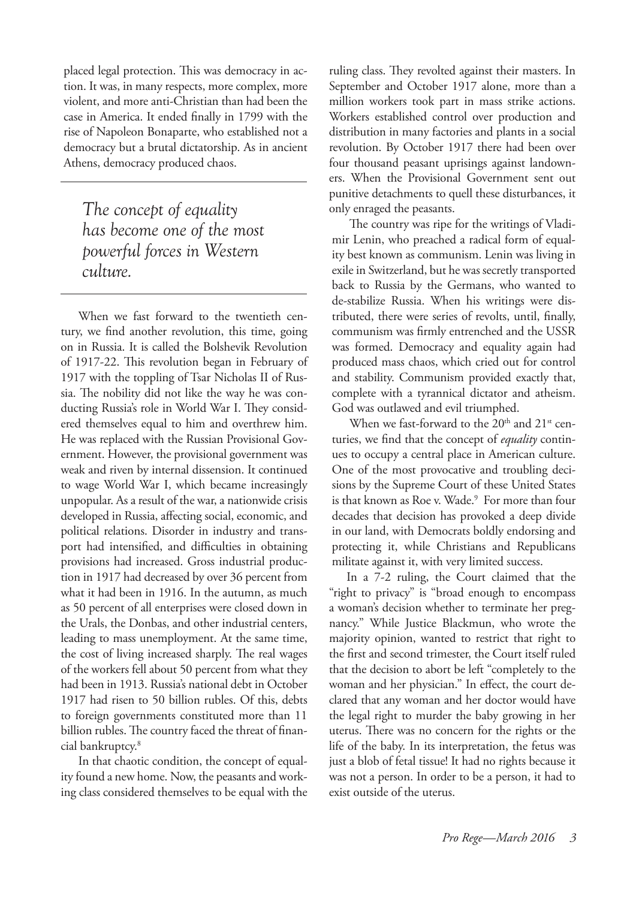placed legal protection. This was democracy in action. It was, in many respects, more complex, more violent, and more anti-Christian than had been the case in America. It ended finally in 1799 with the rise of Napoleon Bonaparte, who established not a democracy but a brutal dictatorship. As in ancient Athens, democracy produced chaos.

*The concept of equality has become one of the most powerful forces in Western culture.*

When we fast forward to the twentieth century, we find another revolution, this time, going on in Russia. It is called the Bolshevik Revolution of 1917-22. This revolution began in February of 1917 with the toppling of Tsar Nicholas II of Russia. The nobility did not like the way he was conducting Russia's role in World War I. They considered themselves equal to him and overthrew him. He was replaced with the Russian Provisional Government. However, the provisional government was weak and riven by internal dissension. It continued to wage World War I, which became increasingly unpopular. As a result of the war, a nationwide crisis developed in Russia, affecting social, economic, and political relations. Disorder in industry and transport had intensified, and difficulties in obtaining provisions had increased. Gross industrial production in 1917 had decreased by over 36 percent from what it had been in 1916. In the autumn, as much as 50 percent of all enterprises were closed down in the Urals, the Donbas, and other industrial centers, leading to mass unemployment. At the same time, the cost of living increased sharply. The real wages of the workers fell about 50 percent from what they had been in 1913. Russia's national debt in October 1917 had risen to 50 billion rubles. Of this, debts to foreign governments constituted more than 11 billion rubles. The country faced the threat of financial bankruptcy. 8

In that chaotic condition, the concept of equality found a new home. Now, the peasants and working class considered themselves to be equal with the ruling class. They revolted against their masters. In September and October 1917 alone, more than a million workers took part in mass strike actions. Workers established control over production and distribution in many factories and plants in a social revolution. By October 1917 there had been over four thousand peasant uprisings against landowners. When the Provisional Government sent out punitive detachments to quell these disturbances, it only enraged the peasants.

The country was ripe for the writings of Vladimir Lenin, who preached a radical form of equality best known as communism. Lenin was living in exile in Switzerland, but he was secretly transported back to Russia by the Germans, who wanted to de-stabilize Russia. When his writings were distributed, there were series of revolts, until, finally, communism was firmly entrenched and the USSR was formed. Democracy and equality again had produced mass chaos, which cried out for control and stability. Communism provided exactly that, complete with a tyrannical dictator and atheism. God was outlawed and evil triumphed.

When we fast-forward to the 20<sup>th</sup> and 21<sup>st</sup> centuries, we find that the concept of *equality* continues to occupy a central place in American culture. One of the most provocative and troubling decisions by the Supreme Court of these United States is that known as Roe v. Wade.<sup>9</sup> For more than four decades that decision has provoked a deep divide in our land, with Democrats boldly endorsing and protecting it, while Christians and Republicans militate against it, with very limited success.

In a 7-2 ruling, the Court claimed that the "right to privacy" is "broad enough to encompass a woman's decision whether to terminate her pregnancy." While Justice Blackmun, who wrote the majority opinion, wanted to restrict that right to the first and second trimester, the Court itself ruled that the decision to abort be left "completely to the woman and her physician." In effect, the court declared that any woman and her doctor would have the legal right to murder the baby growing in her uterus. There was no concern for the rights or the life of the baby. In its interpretation, the fetus was just a blob of fetal tissue! It had no rights because it was not a person. In order to be a person, it had to exist outside of the uterus.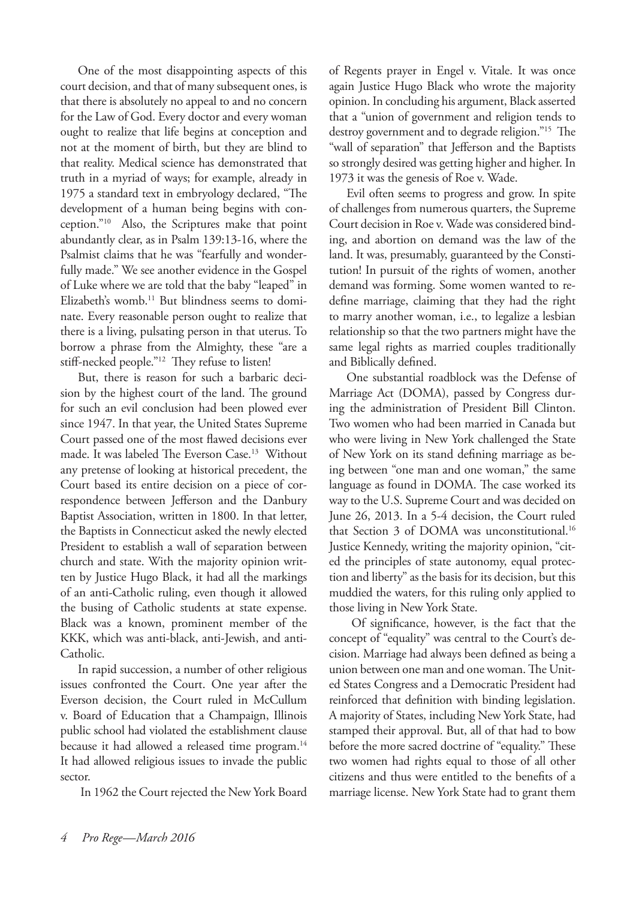One of the most disappointing aspects of this court decision, and that of many subsequent ones, is that there is absolutely no appeal to and no concern for the Law of God. Every doctor and every woman ought to realize that life begins at conception and not at the moment of birth, but they are blind to that reality. Medical science has demonstrated that truth in a myriad of ways; for example, already in 1975 a standard text in embryology declared, "The development of a human being begins with conception."10 Also, the Scriptures make that point abundantly clear, as in Psalm 139:13-16, where the Psalmist claims that he was "fearfully and wonderfully made." We see another evidence in the Gospel of Luke where we are told that the baby "leaped" in Elizabeth's womb.<sup>11</sup> But blindness seems to dominate. Every reasonable person ought to realize that there is a living, pulsating person in that uterus. To borrow a phrase from the Almighty, these "are a stiff-necked people."12 They refuse to listen!

But, there is reason for such a barbaric decision by the highest court of the land. The ground for such an evil conclusion had been plowed ever since 1947. In that year, the United States Supreme Court passed one of the most flawed decisions ever made. It was labeled The Everson Case.13 Without any pretense of looking at historical precedent, the Court based its entire decision on a piece of correspondence between Jefferson and the Danbury Baptist Association, written in 1800. In that letter, the Baptists in Connecticut asked the newly elected President to establish a wall of separation between church and state. With the majority opinion written by Justice Hugo Black, it had all the markings of an anti-Catholic ruling, even though it allowed the busing of Catholic students at state expense. Black was a known, prominent member of the KKK, which was anti-black, anti-Jewish, and anti-Catholic.

In rapid succession, a number of other religious issues confronted the Court. One year after the Everson decision, the Court ruled in McCullum v. Board of Education that a Champaign, Illinois public school had violated the establishment clause because it had allowed a released time program.<sup>14</sup> It had allowed religious issues to invade the public sector.

In 1962 the Court rejected the New York Board

of Regents prayer in Engel v. Vitale. It was once again Justice Hugo Black who wrote the majority opinion. In concluding his argument, Black asserted that a "union of government and religion tends to destroy government and to degrade religion."<sup>15</sup> The "wall of separation" that Jefferson and the Baptists so strongly desired was getting higher and higher. In 1973 it was the genesis of Roe v. Wade.

Evil often seems to progress and grow. In spite of challenges from numerous quarters, the Supreme Court decision in Roe v. Wade was considered binding, and abortion on demand was the law of the land. It was, presumably, guaranteed by the Constitution! In pursuit of the rights of women, another demand was forming. Some women wanted to redefine marriage, claiming that they had the right to marry another woman, i.e., to legalize a lesbian relationship so that the two partners might have the same legal rights as married couples traditionally and Biblically defined.

One substantial roadblock was the Defense of Marriage Act (DOMA), passed by Congress during the administration of President Bill Clinton. Two women who had been married in Canada but who were living in New York challenged the State of New York on its stand defining marriage as being between "one man and one woman," the same language as found in DOMA. The case worked its way to the U.S. Supreme Court and was decided on June 26, 2013. In a 5-4 decision, the Court ruled that Section 3 of DOMA was unconstitutional.<sup>16</sup> Justice Kennedy, writing the majority opinion, "cited the principles of state autonomy, equal protection and liberty" as the basis for its decision, but this muddied the waters, for this ruling only applied to those living in New York State.

 Of significance, however, is the fact that the concept of "equality" was central to the Court's decision. Marriage had always been defined as being a union between one man and one woman. The United States Congress and a Democratic President had reinforced that definition with binding legislation. A majority of States, including New York State, had stamped their approval. But, all of that had to bow before the more sacred doctrine of "equality." These two women had rights equal to those of all other citizens and thus were entitled to the benefits of a marriage license. New York State had to grant them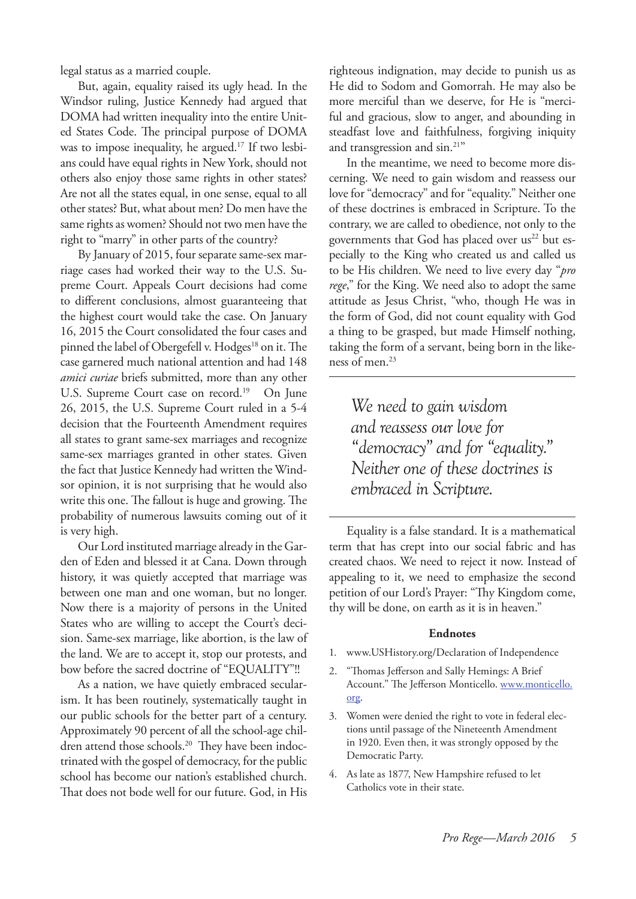legal status as a married couple.

But, again, equality raised its ugly head. In the Windsor ruling, Justice Kennedy had argued that DOMA had written inequality into the entire United States Code. The principal purpose of DOMA was to impose inequality, he argued.<sup>17</sup> If two lesbians could have equal rights in New York, should not others also enjoy those same rights in other states? Are not all the states equal, in one sense, equal to all other states? But, what about men? Do men have the same rights as women? Should not two men have the right to "marry" in other parts of the country?

By January of 2015, four separate same-sex marriage cases had worked their way to the U.S. Supreme Court. Appeals Court decisions had come to different conclusions, almost guaranteeing that the highest court would take the case. On January 16, 2015 the Court consolidated the four cases and pinned the label of Obergefell v. Hodges<sup>18</sup> on it. The case garnered much national attention and had 148 *amici curiae* briefs submitted, more than any other U.S. Supreme Court case on record.<sup>19</sup> On June 26, 2015, the U.S. Supreme Court ruled in a 5-4 decision that the Fourteenth Amendment requires all states to grant same-sex marriages and recognize same-sex marriages granted in other states. Given the fact that Justice Kennedy had written the Windsor opinion, it is not surprising that he would also write this one. The fallout is huge and growing. The probability of numerous lawsuits coming out of it is very high.

Our Lord instituted marriage already in the Garden of Eden and blessed it at Cana. Down through history, it was quietly accepted that marriage was between one man and one woman, but no longer. Now there is a majority of persons in the United States who are willing to accept the Court's decision. Same-sex marriage, like abortion, is the law of the land. We are to accept it, stop our protests, and bow before the sacred doctrine of "EQUALITY"!!

As a nation, we have quietly embraced secularism. It has been routinely, systematically taught in our public schools for the better part of a century. Approximately 90 percent of all the school-age children attend those schools.<sup>20</sup> They have been indoctrinated with the gospel of democracy, for the public school has become our nation's established church. That does not bode well for our future. God, in His righteous indignation, may decide to punish us as He did to Sodom and Gomorrah. He may also be more merciful than we deserve, for He is "merciful and gracious, slow to anger, and abounding in steadfast love and faithfulness, forgiving iniquity and transgression and sin.21"

In the meantime, we need to become more discerning. We need to gain wisdom and reassess our love for "democracy" and for "equality." Neither one of these doctrines is embraced in Scripture. To the contrary, we are called to obedience, not only to the governments that God has placed over us<sup>22</sup> but especially to the King who created us and called us to be His children. We need to live every day "*pro rege*," for the King. We need also to adopt the same attitude as Jesus Christ, "who, though He was in the form of God, did not count equality with God a thing to be grasped, but made Himself nothing, taking the form of a servant, being born in the likeness of men.<sup>23</sup>

*We need to gain wisdom and reassess our love for "democracy" and for "equality." Neither one of these doctrines is embraced in Scripture.*

Equality is a false standard. It is a mathematical term that has crept into our social fabric and has created chaos. We need to reject it now. Instead of appealing to it, we need to emphasize the second petition of our Lord's Prayer: "Thy Kingdom come, thy will be done, on earth as it is in heaven."

#### **Endnotes**

- 1. www.USHistory.org/Declaration of Independence
- 2. "Thomas Jefferson and Sally Hemings: A Brief Account." The Jefferson Monticello. www.monticello. org.
- 3. Women were denied the right to vote in federal elections until passage of the Nineteenth Amendment in 1920. Even then, it was strongly opposed by the Democratic Party.
- 4. As late as 1877, New Hampshire refused to let Catholics vote in their state.